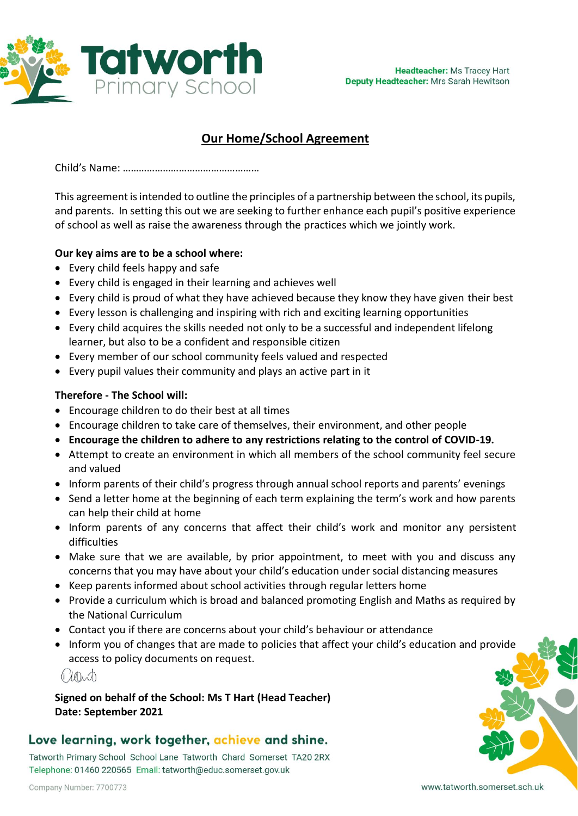

# **Our Home/School Agreement**

Child's Name: ……………………………………………

This agreement is intended to outline the principles of a partnership between the school, its pupils, and parents. In setting this out we are seeking to further enhance each pupil's positive experience of school as well as raise the awareness through the practices which we jointly work.

### **Our key aims are to be a school where:**

- Every child feels happy and safe
- Every child is engaged in their learning and achieves well
- Every child is proud of what they have achieved because they know they have given their best
- Every lesson is challenging and inspiring with rich and exciting learning opportunities
- Every child acquires the skills needed not only to be a successful and independent lifelong learner, but also to be a confident and responsible citizen
- Every member of our school community feels valued and respected
- Every pupil values their community and plays an active part in it

### **Therefore - The School will:**

- Encourage children to do their best at all times
- Encourage children to take care of themselves, their environment, and other people
- **Encourage the children to adhere to any restrictions relating to the control of COVID-19.**
- Attempt to create an environment in which all members of the school community feel secure and valued
- Inform parents of their child's progress through annual school reports and parents' evenings
- Send a letter home at the beginning of each term explaining the term's work and how parents can help their child at home
- Inform parents of any concerns that affect their child's work and monitor any persistent difficulties
- Make sure that we are available, by prior appointment, to meet with you and discuss any concerns that you may have about your child's education under social distancing measures
- Keep parents informed about school activities through regular letters home
- Provide a curriculum which is broad and balanced promoting English and Maths as required by the National Curriculum
- Contact you if there are concerns about your child's behaviour or attendance
- Inform you of changes that are made to policies that affect your child's education and provide access to policy documents on request.

 $(Mn)$ 

**Signed on behalf of the School: Ms T Hart (Head Teacher) Date: September 2021**

## Love learning, work together, achieve and shine.

Tatworth Primary School School Lane Tatworth Chard Somerset TA20 2RX Telephone: 01460 220565 Email: tatworth@educ.somerset.gov.uk